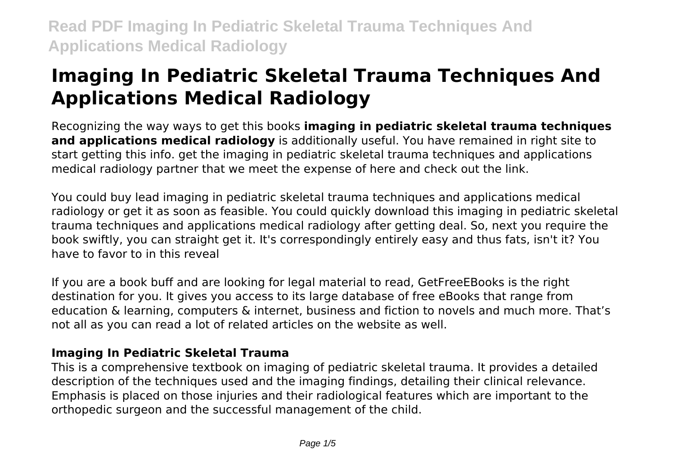# **Imaging In Pediatric Skeletal Trauma Techniques And Applications Medical Radiology**

Recognizing the way ways to get this books **imaging in pediatric skeletal trauma techniques and applications medical radiology** is additionally useful. You have remained in right site to start getting this info. get the imaging in pediatric skeletal trauma techniques and applications medical radiology partner that we meet the expense of here and check out the link.

You could buy lead imaging in pediatric skeletal trauma techniques and applications medical radiology or get it as soon as feasible. You could quickly download this imaging in pediatric skeletal trauma techniques and applications medical radiology after getting deal. So, next you require the book swiftly, you can straight get it. It's correspondingly entirely easy and thus fats, isn't it? You have to favor to in this reveal

If you are a book buff and are looking for legal material to read, GetFreeEBooks is the right destination for you. It gives you access to its large database of free eBooks that range from education & learning, computers & internet, business and fiction to novels and much more. That's not all as you can read a lot of related articles on the website as well.

#### **Imaging In Pediatric Skeletal Trauma**

This is a comprehensive textbook on imaging of pediatric skeletal trauma. It provides a detailed description of the techniques used and the imaging findings, detailing their clinical relevance. Emphasis is placed on those injuries and their radiological features which are important to the orthopedic surgeon and the successful management of the child.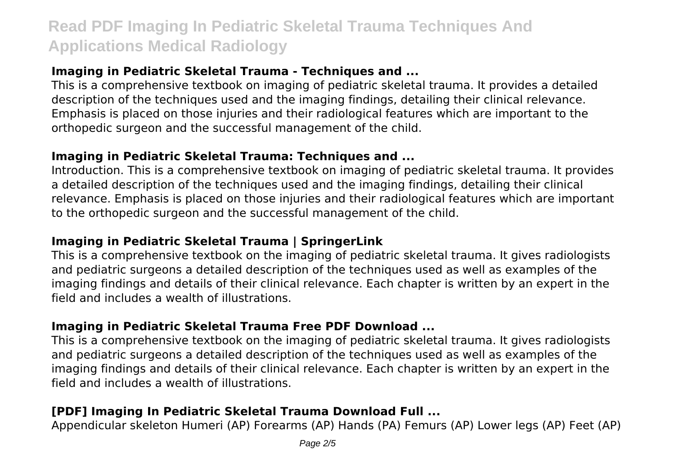#### **Imaging in Pediatric Skeletal Trauma - Techniques and ...**

This is a comprehensive textbook on imaging of pediatric skeletal trauma. It provides a detailed description of the techniques used and the imaging findings, detailing their clinical relevance. Emphasis is placed on those injuries and their radiological features which are important to the orthopedic surgeon and the successful management of the child.

#### **Imaging in Pediatric Skeletal Trauma: Techniques and ...**

Introduction. This is a comprehensive textbook on imaging of pediatric skeletal trauma. It provides a detailed description of the techniques used and the imaging findings, detailing their clinical relevance. Emphasis is placed on those injuries and their radiological features which are important to the orthopedic surgeon and the successful management of the child.

# **Imaging in Pediatric Skeletal Trauma | SpringerLink**

This is a comprehensive textbook on the imaging of pediatric skeletal trauma. It gives radiologists and pediatric surgeons a detailed description of the techniques used as well as examples of the imaging findings and details of their clinical relevance. Each chapter is written by an expert in the field and includes a wealth of illustrations.

# **Imaging in Pediatric Skeletal Trauma Free PDF Download ...**

This is a comprehensive textbook on the imaging of pediatric skeletal trauma. It gives radiologists and pediatric surgeons a detailed description of the techniques used as well as examples of the imaging findings and details of their clinical relevance. Each chapter is written by an expert in the field and includes a wealth of illustrations.

# **[PDF] Imaging In Pediatric Skeletal Trauma Download Full ...**

Appendicular skeleton Humeri (AP) Forearms (AP) Hands (PA) Femurs (AP) Lower legs (AP) Feet (AP)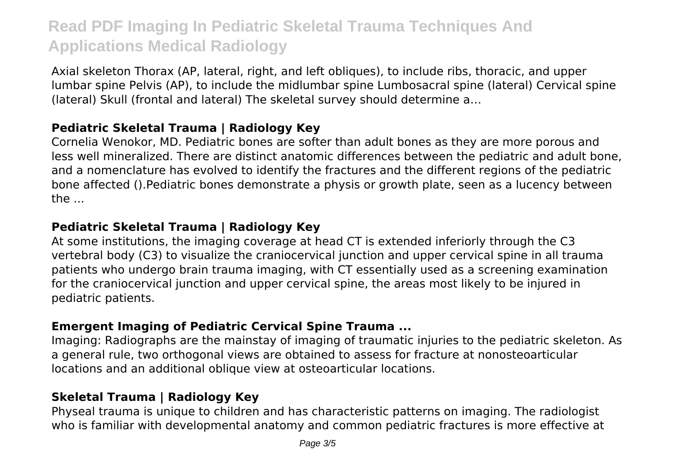Axial skeleton Thorax (AP, lateral, right, and left obliques), to include ribs, thoracic, and upper lumbar spine Pelvis (AP), to include the midlumbar spine Lumbosacral spine (lateral) Cervical spine (lateral) Skull (frontal and lateral) The skeletal survey should determine a…

#### **Pediatric Skeletal Trauma | Radiology Key**

Cornelia Wenokor, MD. Pediatric bones are softer than adult bones as they are more porous and less well mineralized. There are distinct anatomic differences between the pediatric and adult bone, and a nomenclature has evolved to identify the fractures and the different regions of the pediatric bone affected ().Pediatric bones demonstrate a physis or growth plate, seen as a lucency between the ...

# **Pediatric Skeletal Trauma | Radiology Key**

At some institutions, the imaging coverage at head CT is extended inferiorly through the C3 vertebral body (C3) to visualize the craniocervical junction and upper cervical spine in all trauma patients who undergo brain trauma imaging, with CT essentially used as a screening examination for the craniocervical junction and upper cervical spine, the areas most likely to be injured in pediatric patients.

# **Emergent Imaging of Pediatric Cervical Spine Trauma ...**

Imaging: Radiographs are the mainstay of imaging of traumatic injuries to the pediatric skeleton. As a general rule, two orthogonal views are obtained to assess for fracture at nonosteoarticular locations and an additional oblique view at osteoarticular locations.

# **Skeletal Trauma | Radiology Key**

Physeal trauma is unique to children and has characteristic patterns on imaging. The radiologist who is familiar with developmental anatomy and common pediatric fractures is more effective at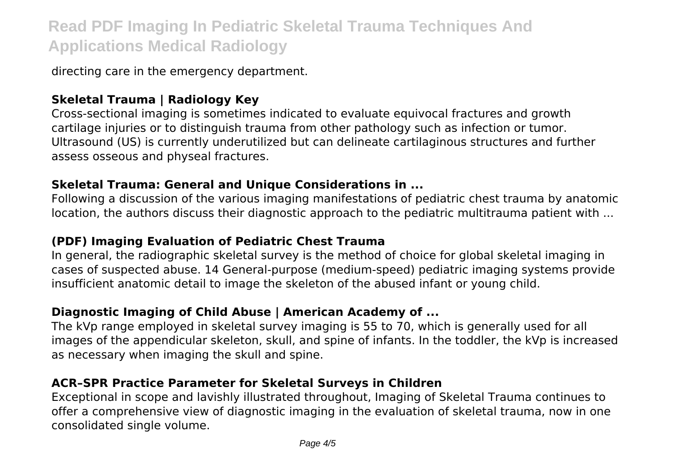directing care in the emergency department.

#### **Skeletal Trauma | Radiology Key**

Cross-sectional imaging is sometimes indicated to evaluate equivocal fractures and growth cartilage injuries or to distinguish trauma from other pathology such as infection or tumor. Ultrasound (US) is currently underutilized but can delineate cartilaginous structures and further assess osseous and physeal fractures.

#### **Skeletal Trauma: General and Unique Considerations in ...**

Following a discussion of the various imaging manifestations of pediatric chest trauma by anatomic location, the authors discuss their diagnostic approach to the pediatric multitrauma patient with ...

#### **(PDF) Imaging Evaluation of Pediatric Chest Trauma**

In general, the radiographic skeletal survey is the method of choice for global skeletal imaging in cases of suspected abuse. 14 General-purpose (medium-speed) pediatric imaging systems provide insufficient anatomic detail to image the skeleton of the abused infant or young child.

# **Diagnostic Imaging of Child Abuse | American Academy of ...**

The kVp range employed in skeletal survey imaging is 55 to 70, which is generally used for all images of the appendicular skeleton, skull, and spine of infants. In the toddler, the kVp is increased as necessary when imaging the skull and spine.

# **ACR–SPR Practice Parameter for Skeletal Surveys in Children**

Exceptional in scope and lavishly illustrated throughout, Imaging of Skeletal Trauma continues to offer a comprehensive view of diagnostic imaging in the evaluation of skeletal trauma, now in one consolidated single volume.